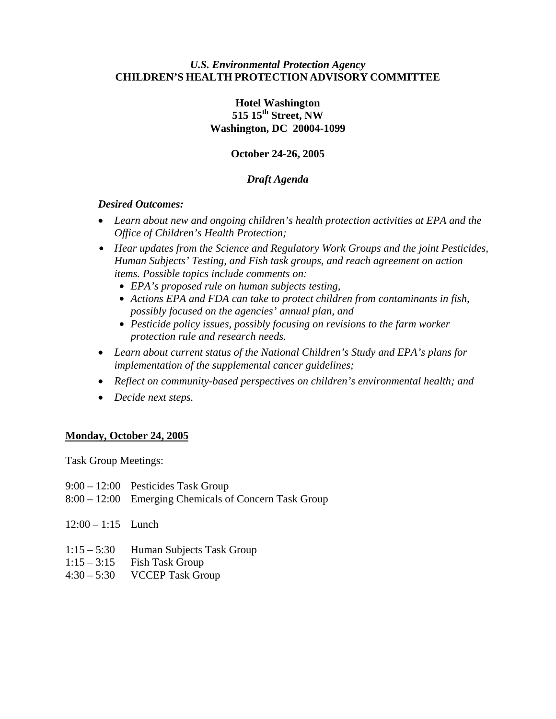### *U.S. Environmental Protection Agency* **CHILDREN'S HEALTH PROTECTION ADVISORY COMMITTEE**

# **Hotel Washington 515 15th Street, NW Washington, DC 20004-1099**

# **October 24-26, 2005**

# *Draft Agenda*

# *Desired Outcomes:*

- *Learn about new and ongoing children's health protection activities at EPA and the Office of Children's Health Protection;*
- **•** *Hear updates from the Science and Regulatory Work Groups and the joint Pesticides, Human Subjects' Testing, and Fish task groups, and reach agreement on action items. Possible topics include comments on:* 
	- *EPA's proposed rule on human subjects testing,*
	- Actions EPA and FDA can take to protect children from contaminants in fish, *possibly focused on the agencies' annual plan, and*
	- Pesticide policy issues, possibly focusing on revisions to the farm worker *protection rule and research needs.*
- *Learn about current status of the National Children's Study and EPA's plans for implementation of the supplemental cancer guidelines;*
- *Reflect on community-based perspectives on children's environmental health; and*
- *Decide next steps.*

# **Monday, October 24, 2005**

Task Group Meetings:

- 9:00 12:00 Pesticides Task Group
- 8:00 12:00 Emerging Chemicals of Concern Task Group
- 12:00 1:15 Lunch
- 1:15 5:30 Human Subjects Task Group
- $1:15 3:15$  Fish Task Group
- 4:30 5:30 VCCEP Task Group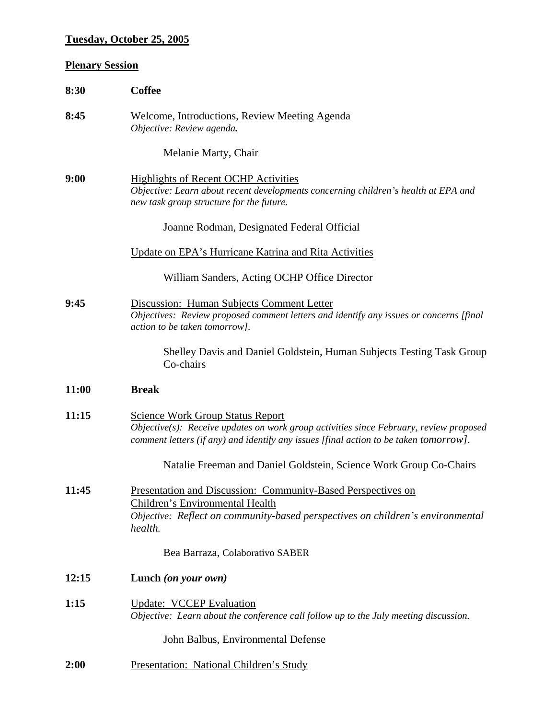# **Tuesday, October 25, 2005**

# **Plenary Session**

| 8:30  | <b>Coffee</b>                                                                                                                                                                                                                 |
|-------|-------------------------------------------------------------------------------------------------------------------------------------------------------------------------------------------------------------------------------|
| 8:45  | Welcome, Introductions, Review Meeting Agenda<br>Objective: Review agenda.                                                                                                                                                    |
|       | Melanie Marty, Chair                                                                                                                                                                                                          |
| 9:00  | <b>Highlights of Recent OCHP Activities</b><br>Objective: Learn about recent developments concerning children's health at EPA and<br>new task group structure for the future.                                                 |
|       | Joanne Rodman, Designated Federal Official                                                                                                                                                                                    |
|       | Update on EPA's Hurricane Katrina and Rita Activities                                                                                                                                                                         |
|       | William Sanders, Acting OCHP Office Director                                                                                                                                                                                  |
| 9:45  | Discussion: Human Subjects Comment Letter<br>Objectives: Review proposed comment letters and identify any issues or concerns [final<br>action to be taken tomorrow].                                                          |
|       | Shelley Davis and Daniel Goldstein, Human Subjects Testing Task Group<br>Co-chairs                                                                                                                                            |
| 11:00 | <b>Break</b>                                                                                                                                                                                                                  |
| 11:15 | <b>Science Work Group Status Report</b><br>$Objective(s)$ : Receive updates on work group activities since February, review proposed<br>comment letters (if any) and identify any issues [final action to be taken tomorrow]. |
|       | Natalie Freeman and Daniel Goldstein, Science Work Group Co-Chairs                                                                                                                                                            |
| 11:45 | Presentation and Discussion: Community-Based Perspectives on<br>Children's Environmental Health<br>Objective: Reflect on community-based perspectives on children's environmental<br>health.                                  |
|       | Bea Barraza, Colaborativo SABER                                                                                                                                                                                               |
| 12:15 | Lunch (on your own)                                                                                                                                                                                                           |
| 1:15  | <b>Update: VCCEP Evaluation</b><br>Objective: Learn about the conference call follow up to the July meeting discussion.                                                                                                       |
|       | John Balbus, Environmental Defense                                                                                                                                                                                            |
| 2:00  | Presentation: National Children's Study                                                                                                                                                                                       |